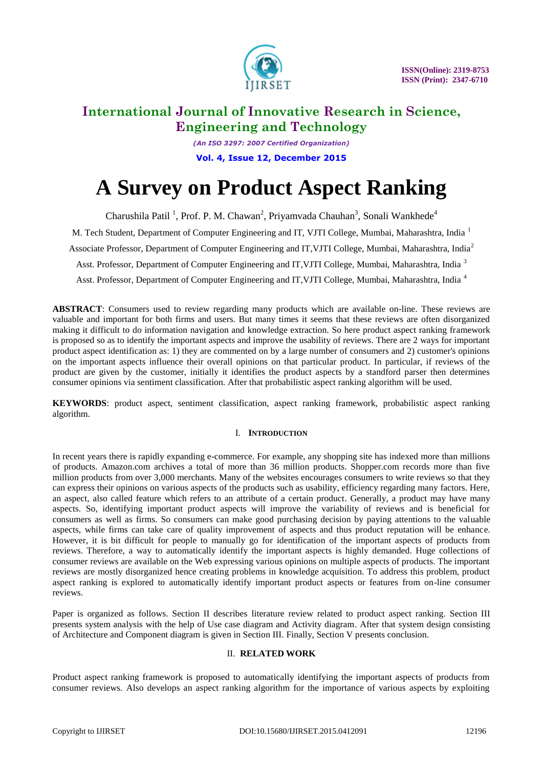

*(An ISO 3297: 2007 Certified Organization)* **Vol. 4, Issue 12, December 2015**

# **A Survey on Product Aspect Ranking**

Charushila Patil<sup>1</sup>, Prof. P. M. Chawan<sup>2</sup>, Priyamvada Chauhan<sup>3</sup>, Sonali Wankhede<sup>4</sup>

M. Tech Student, Department of Computer Engineering and IT, VJTI College, Mumbai, Maharashtra, India <sup>1</sup>

Associate Professor, Department of Computer Engineering and IT,VJTI College, Mumbai, Maharashtra, India<sup>2</sup>

Asst. Professor, Department of Computer Engineering and IT, VJTI College, Mumbai, Maharashtra, India<sup>3</sup>

Asst. Professor, Department of Computer Engineering and IT,VJTI College, Mumbai, Maharashtra, India <sup>4</sup>

**ABSTRACT**: Consumers used to review regarding many products which are available on-line. These reviews are valuable and important for both firms and users. But many times it seems that these reviews are often disorganized making it difficult to do information navigation and knowledge extraction. So here product aspect ranking framework is proposed so as to identify the important aspects and improve the usability of reviews. There are 2 ways for important product aspect identification as: 1) they are commented on by a large number of consumers and 2) customer's opinions on the important aspects influence their overall opinions on that particular product. In particular, if reviews of the product are given by the customer, initially it identifies the product aspects by a standford parser then determines consumer opinions via sentiment classification. After that probabilistic aspect ranking algorithm will be used.

**KEYWORDS**: product aspect, sentiment classification, aspect ranking framework, probabilistic aspect ranking algorithm.

### I. **INTRODUCTION**

In recent years there is rapidly expanding e-commerce. For example, any shopping site has indexed more than millions of products. Amazon.com archives a total of more than 36 million products. Shopper.com records more than five million products from over 3,000 merchants. Many of the websites encourages consumers to write reviews so that they can express their opinions on various aspects of the products such as usability, efficiency regarding many factors. Here, an aspect, also called feature which refers to an attribute of a certain product. Generally, a product may have many aspects. So, identifying important product aspects will improve the variability of reviews and is beneficial for consumers as well as firms. So consumers can make good purchasing decision by paying attentions to the valuable aspects, while firms can take care of quality improvement of aspects and thus product reputation will be enhance. However, it is bit difficult for people to manually go for identification of the important aspects of products from reviews. Therefore, a way to automatically identify the important aspects is highly demanded. Huge collections of consumer reviews are available on the Web expressing various opinions on multiple aspects of products. The important reviews are mostly disorganized hence creating problems in knowledge acquisition. To address this problem, product aspect ranking is explored to automatically identify important product aspects or features from on-line consumer reviews.

Paper is organized as follows. Section II describes literature review related to product aspect ranking. Section III presents system analysis with the help of Use case diagram and Activity diagram. After that system design consisting of Architecture and Component diagram is given in Section III. Finally, Section V presents conclusion.

### II. **RELATED WORK**

Product aspect ranking framework is proposed to automatically identifying the important aspects of products from consumer reviews. Also develops an aspect ranking algorithm for the importance of various aspects by exploiting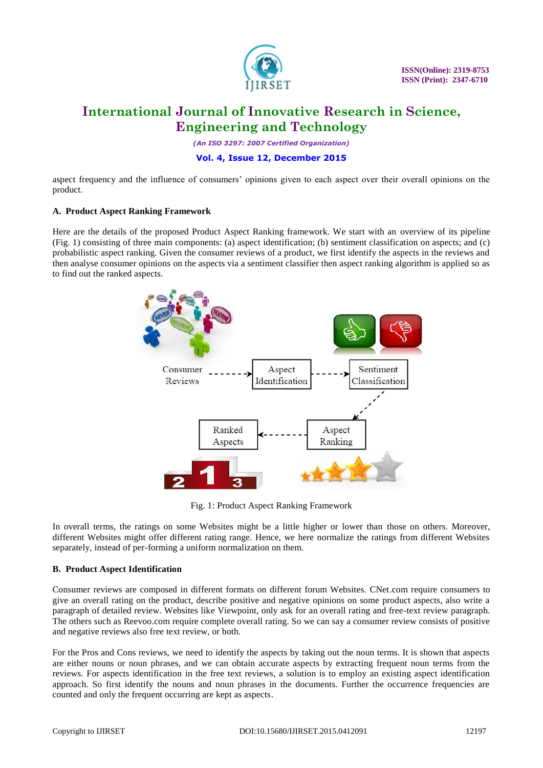

*(An ISO 3297: 2007 Certified Organization)*

#### **Vol. 4, Issue 12, December 2015**

aspect frequency and the influence of consumers' opinions given to each aspect over their overall opinions on the product.

#### **A. Product Aspect Ranking Framework**

Here are the details of the proposed Product Aspect Ranking framework. We start with an overview of its pipeline (Fig. 1) consisting of three main components: (a) aspect identification; (b) sentiment classification on aspects; and (c) probabilistic aspect ranking. Given the consumer reviews of a product, we first identify the aspects in the reviews and then analyse consumer opinions on the aspects via a sentiment classifier then aspect ranking algorithm is applied so as to find out the ranked aspects.



Fig. 1: Product Aspect Ranking Framework

In overall terms, the ratings on some Websites might be a little higher or lower than those on others. Moreover, different Websites might offer different rating range. Hence, we here normalize the ratings from different Websites separately, instead of per-forming a uniform normalization on them.

#### **B. Product Aspect Identification**

Consumer reviews are composed in different formats on different forum Websites. CNet.com require consumers to give an overall rating on the product, describe positive and negative opinions on some product aspects, also write a paragraph of detailed review. Websites like Viewpoint, only ask for an overall rating and free-text review paragraph. The others such as Reevoo.com require complete overall rating. So we can say a consumer review consists of positive and negative reviews also free text review, or both.

For the Pros and Cons reviews, we need to identify the aspects by taking out the noun terms. It is shown that aspects are either nouns or noun phrases, and we can obtain accurate aspects by extracting frequent noun terms from the reviews. For aspects identification in the free text reviews, a solution is to employ an existing aspect identification approach. So first identify the nouns and noun phrases in the documents. Further the occurrence frequencies are counted and only the frequent occurring are kept as aspects.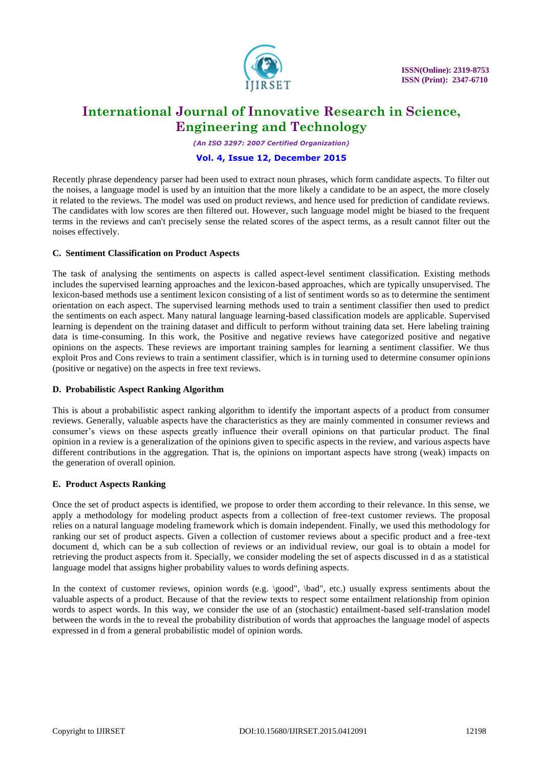

*(An ISO 3297: 2007 Certified Organization)*

#### **Vol. 4, Issue 12, December 2015**

Recently phrase dependency parser had been used to extract noun phrases, which form candidate aspects. To filter out the noises, a language model is used by an intuition that the more likely a candidate to be an aspect, the more closely it related to the reviews. The model was used on product reviews, and hence used for prediction of candidate reviews. The candidates with low scores are then filtered out. However, such language model might be biased to the frequent terms in the reviews and can't precisely sense the related scores of the aspect terms, as a result cannot filter out the noises effectively.

#### **C. Sentiment Classification on Product Aspects**

The task of analysing the sentiments on aspects is called aspect-level sentiment classification. Existing methods includes the supervised learning approaches and the lexicon-based approaches, which are typically unsupervised. The lexicon-based methods use a sentiment lexicon consisting of a list of sentiment words so as to determine the sentiment orientation on each aspect. The supervised learning methods used to train a sentiment classifier then used to predict the sentiments on each aspect. Many natural language learning-based classification models are applicable. Supervised learning is dependent on the training dataset and difficult to perform without training data set. Here labeling training data is time-consuming. In this work, the Positive and negative reviews have categorized positive and negative opinions on the aspects. These reviews are important training samples for learning a sentiment classifier. We thus exploit Pros and Cons reviews to train a sentiment classifier, which is in turning used to determine consumer opinions (positive or negative) on the aspects in free text reviews.

#### **D. Probabilistic Aspect Ranking Algorithm**

This is about a probabilistic aspect ranking algorithm to identify the important aspects of a product from consumer reviews. Generally, valuable aspects have the characteristics as they are mainly commented in consumer reviews and consumer's views on these aspects greatly influence their overall opinions on that particular product. The final opinion in a review is a generalization of the opinions given to specific aspects in the review, and various aspects have different contributions in the aggregation. That is, the opinions on important aspects have strong (weak) impacts on the generation of overall opinion.

#### **E. Product Aspects Ranking**

Once the set of product aspects is identified, we propose to order them according to their relevance. In this sense, we apply a methodology for modeling product aspects from a collection of free-text customer reviews. The proposal relies on a natural language modeling framework which is domain independent. Finally, we used this methodology for ranking our set of product aspects. Given a collection of customer reviews about a specific product and a free-text document d, which can be a sub collection of reviews or an individual review, our goal is to obtain a model for retrieving the product aspects from it. Specially, we consider modeling the set of aspects discussed in d as a statistical language model that assigns higher probability values to words defining aspects.

In the context of customer reviews, opinion words (e.g. \good", \bad", etc.) usually express sentiments about the valuable aspects of a product. Because of that the review texts to respect some entailment relationship from opinion words to aspect words. In this way, we consider the use of an (stochastic) entailment-based self-translation model between the words in the to reveal the probability distribution of words that approaches the language model of aspects expressed in d from a general probabilistic model of opinion words.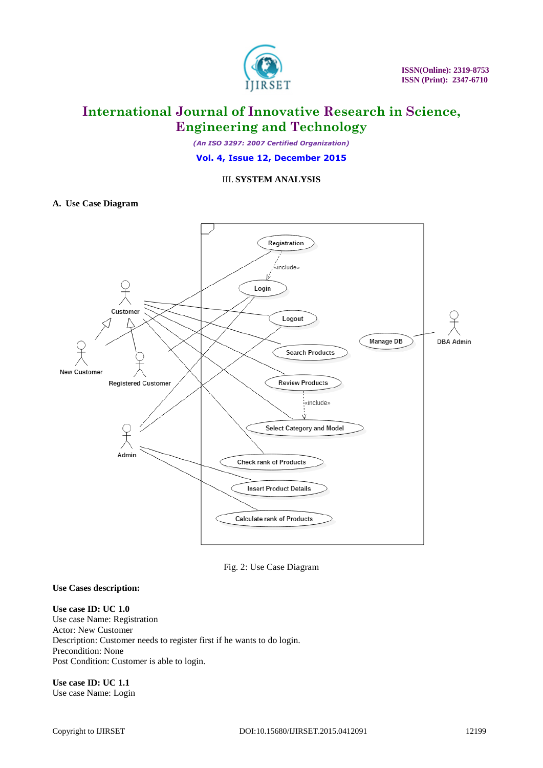

*(An ISO 3297: 2007 Certified Organization)*

**Vol. 4, Issue 12, December 2015**

#### III. **SYSTEM ANALYSIS**

#### **A. Use Case Diagram**



Fig. 2: Use Case Diagram

#### **Use Cases description:**

**Use case ID: UC 1.0** Use case Name: Registration Actor: New Customer Description: Customer needs to register first if he wants to do login. Precondition: None Post Condition: Customer is able to login.

**Use case ID: UC 1.1** Use case Name: Login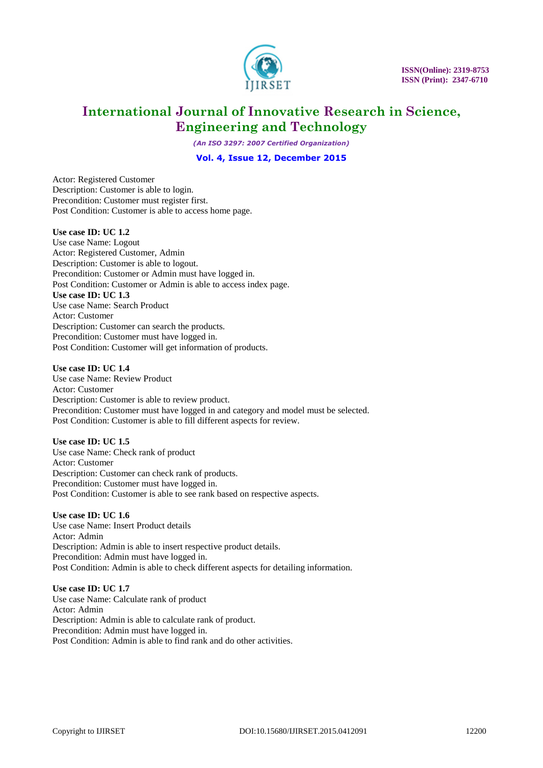

*(An ISO 3297: 2007 Certified Organization)*

#### **Vol. 4, Issue 12, December 2015**

Actor: Registered Customer Description: Customer is able to login. Precondition: Customer must register first. Post Condition: Customer is able to access home page.

#### **Use case ID: UC 1.2**

Use case Name: Logout Actor: Registered Customer, Admin Description: Customer is able to logout. Precondition: Customer or Admin must have logged in. Post Condition: Customer or Admin is able to access index page. **Use case ID: UC 1.3** Use case Name: Search Product Actor: Customer Description: Customer can search the products. Precondition: Customer must have logged in. Post Condition: Customer will get information of products.

#### **Use case ID: UC 1.4**

Use case Name: Review Product Actor: Customer Description: Customer is able to review product. Precondition: Customer must have logged in and category and model must be selected. Post Condition: Customer is able to fill different aspects for review.

#### **Use case ID: UC 1.5**

Use case Name: Check rank of product Actor: Customer Description: Customer can check rank of products. Precondition: Customer must have logged in. Post Condition: Customer is able to see rank based on respective aspects.

#### **Use case ID: UC 1.6**

Use case Name: Insert Product details Actor: Admin Description: Admin is able to insert respective product details. Precondition: Admin must have logged in. Post Condition: Admin is able to check different aspects for detailing information.

#### **Use case ID: UC 1.7** Use case Name: Calculate rank of product Actor: Admin Description: Admin is able to calculate rank of product. Precondition: Admin must have logged in. Post Condition: Admin is able to find rank and do other activities.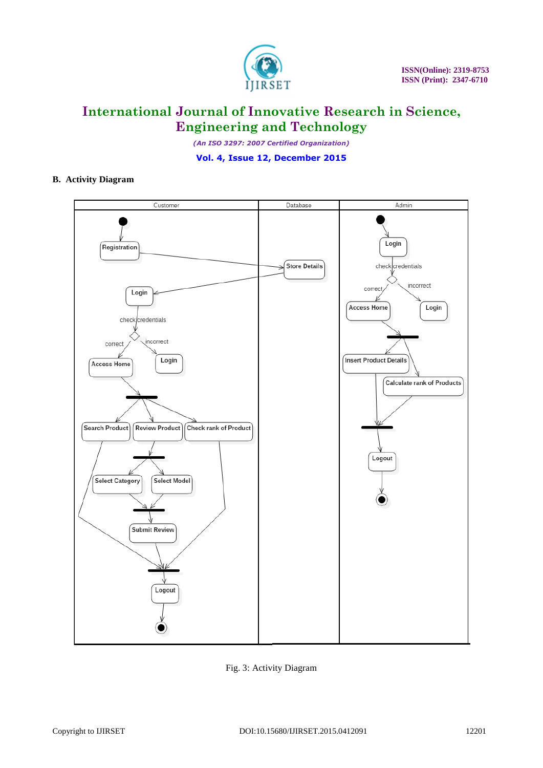

*(An ISO 3297: 2007 Certified Organization)*

**Vol. 4, Issue 12, December 2015**

### **B. Activity Diagram**



Fig. 3: Activity Diagram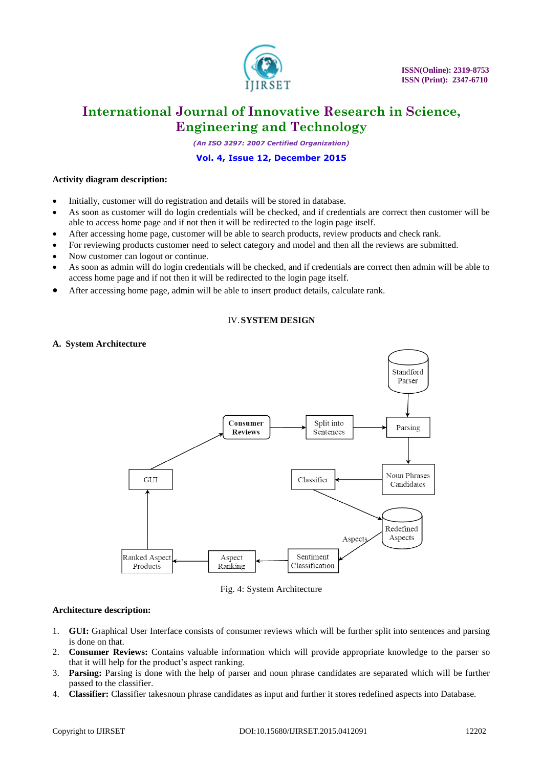

*(An ISO 3297: 2007 Certified Organization)*

#### **Vol. 4, Issue 12, December 2015**

#### **Activity diagram description:**

- Initially, customer will do registration and details will be stored in database.
- As soon as customer will do login credentials will be checked, and if credentials are correct then customer will be able to access home page and if not then it will be redirected to the login page itself.
- After accessing home page, customer will be able to search products, review products and check rank.
- For reviewing products customer need to select category and model and then all the reviews are submitted.
- Now customer can logout or continue.
- As soon as admin will do login credentials will be checked, and if credentials are correct then admin will be able to access home page and if not then it will be redirected to the login page itself.
- After accessing home page, admin will be able to insert product details, calculate rank.

#### IV.**SYSTEM DESIGN**

#### **A. System Architecture**



Fig. 4: System Architecture

#### **Architecture description:**

- 1. **GUI:** Graphical User Interface consists of consumer reviews which will be further split into sentences and parsing is done on that.
- 2. **Consumer Reviews:** Contains valuable information which will provide appropriate knowledge to the parser so that it will help for the product's aspect ranking.
- 3. **Parsing:** Parsing is done with the help of parser and noun phrase candidates are separated which will be further passed to the classifier.
- 4. **Classifier:** Classifier takesnoun phrase candidates as input and further it stores redefined aspects into Database.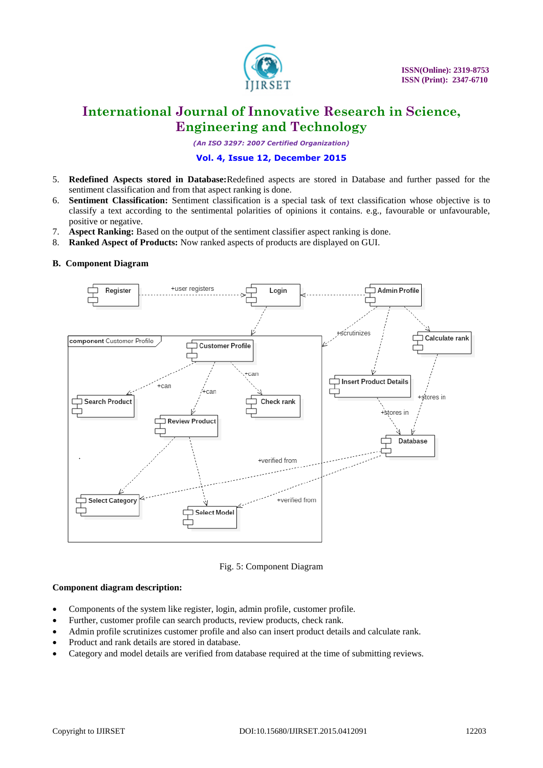

*(An ISO 3297: 2007 Certified Organization)*

#### **Vol. 4, Issue 12, December 2015**

- 5. **Redefined Aspects stored in Database:**Redefined aspects are stored in Database and further passed for the sentiment classification and from that aspect ranking is done.
- 6. **Sentiment Classification:** Sentiment classification is a special task of text classification whose objective is to classify a text according to the sentimental polarities of opinions it contains. e.g., favourable or unfavourable, positive or negative.
- 7. **Aspect Ranking:** Based on the output of the sentiment classifier aspect ranking is done.
- 8. **Ranked Aspect of Products:** Now ranked aspects of products are displayed on GUI.

#### **B. Component Diagram**



Fig. 5: Component Diagram

#### **Component diagram description:**

- Components of the system like register, login, admin profile, customer profile.
- Further, customer profile can search products, review products, check rank.
- Admin profile scrutinizes customer profile and also can insert product details and calculate rank.
- Product and rank details are stored in database.
- Category and model details are verified from database required at the time of submitting reviews.